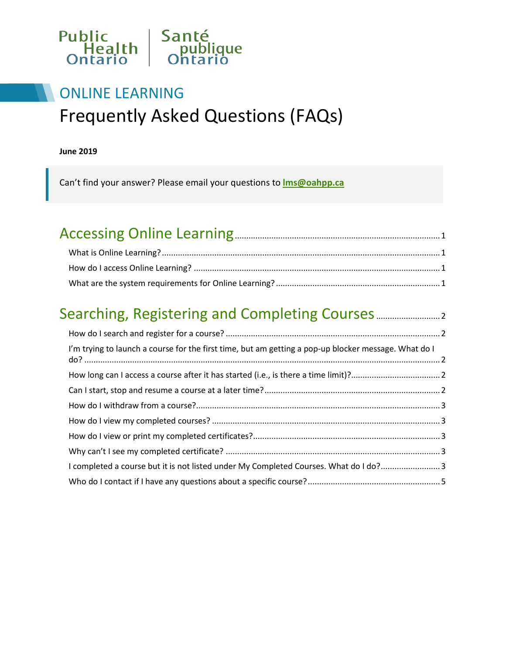

## ONLINE LEARNING Frequently Asked Questions (FAQs)

#### **June 2019**

Can't find your answer? Please email your questions to **[lms@oahpp.ca](mailto:lms@oahpp.ca)**

# [Accessing Online Learning..........................................................................................1](#page-1-0)

#### [Searching, Registering and Completing Courses............................2](#page-2-0)

| I'm trying to launch a course for the first time, but am getting a pop-up blocker message. What do I |  |
|------------------------------------------------------------------------------------------------------|--|
|                                                                                                      |  |
|                                                                                                      |  |
|                                                                                                      |  |
|                                                                                                      |  |
|                                                                                                      |  |
|                                                                                                      |  |
| I completed a course but it is not listed under My Completed Courses. What do I do?3                 |  |
|                                                                                                      |  |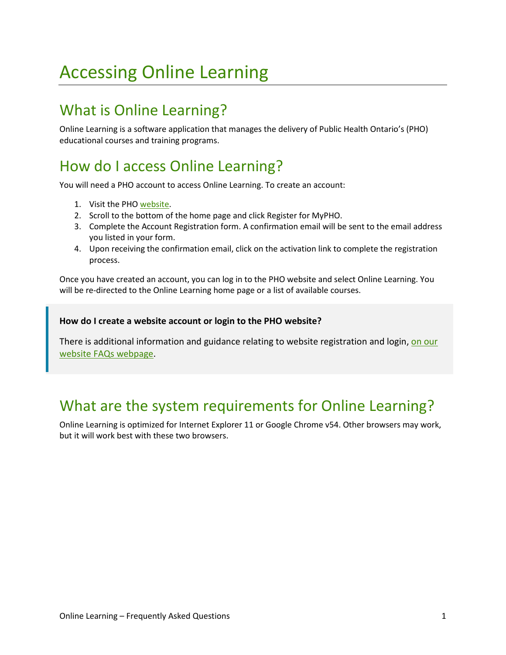## <span id="page-1-0"></span>Accessing Online Learning

### <span id="page-1-1"></span>What is Online Learning?

Online Learning is a software application that manages the delivery of Public Health Ontario's (PHO) educational courses and training programs.

### <span id="page-1-2"></span>How do I access Online Learning?

You will need a PHO account to access Online Learning. To create an account:

- 1. Visit the PH[O website.](http://www.publichealthontario.ca/)
- 2. Scroll to the bottom of the home page and click Register for MyPHO.
- 3. Complete the Account Registration form. A confirmation email will be sent to the email address you listed in your form.
- 4. Upon receiving the confirmation email, click on the activation link to complete the registration process.

Once you have created an account, you can log in to the PHO website and select Online Learning. You will be re-directed to the Online Learning home page or a list of available courses.

#### **How do I create a website account or login to the PHO website?**

There is additional information and guidance relating to website registration and login[, on our](https://www.publichealthontario.ca/en/about/faqs)  [website FAQs webpage.](https://www.publichealthontario.ca/en/about/faqs)

#### <span id="page-1-3"></span>What are the system requirements for Online Learning?

Online Learning is optimized for Internet Explorer 11 or Google Chrome v54. Other browsers may work, but it will work best with these two browsers.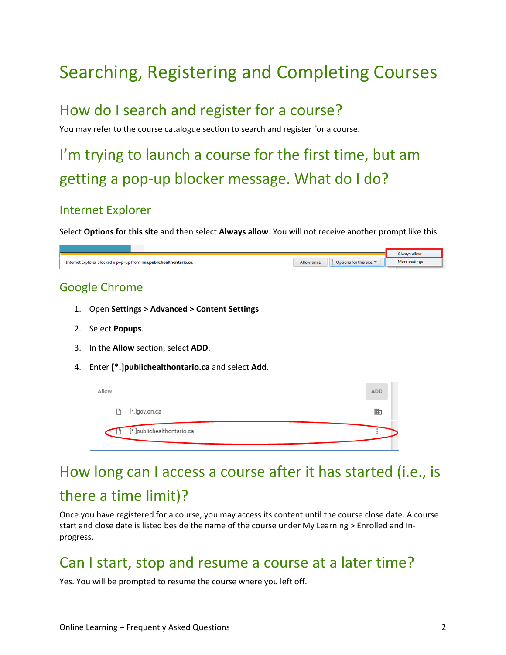## <span id="page-2-0"></span>Searching, Registering and Completing Courses

#### <span id="page-2-1"></span>How do I search and register for a course?

You may refer to the course catalogue section to search and register for a course.

## <span id="page-2-2"></span>I'm trying to launch a course for the first time, but am getting a pop-up blocker message. What do I do?

#### Internet Explorer

Select **Options for this site** and then select **Always allow**. You will not receive another prompt like this.

| Internet Explorer blocked a pop-up from Ims.publichealthontario.ca. | Options for this site $\blacktriangledown$<br>Allow once | Always allow<br>More settings |
|---------------------------------------------------------------------|----------------------------------------------------------|-------------------------------|
| <b>Google Chrome</b>                                                |                                                          |                               |
| <b>Open Settings &gt; Advanced &gt; Content Settings</b>            |                                                          |                               |

- 2. Select **Popups**.
- 3. In the **Allow** section, select **ADD**.
- 4. Enter **[\*.]publichealthontario.ca** and select **Add**.

| Allow |                            | <b>ADD</b> |
|-------|----------------------------|------------|
|       | □ [*.]gov.on.ca            | 匭          |
|       | [*.]publichealthontario.ca |            |

### <span id="page-2-3"></span>How long can I access a course after it has started (i.e., is

#### there a time limit)?

Once you have registered for a course, you may access its content until the course close date. A course start and close date is listed beside the name of the course under My Learning > Enrolled and Inprogress.

#### <span id="page-2-4"></span>Can I start, stop and resume a course at a later time?

Yes. You will be prompted to resume the course where you left off.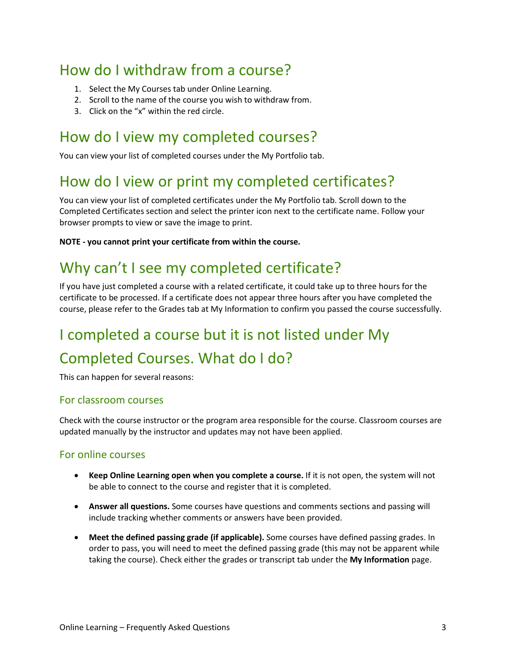### <span id="page-3-0"></span>How do I withdraw from a course?

- 1. Select the My Courses tab under Online Learning.
- 2. Scroll to the name of the course you wish to withdraw from.
- 3. Click on the "x" within the red circle.

#### <span id="page-3-1"></span>How do I view my completed courses?

You can view your list of completed courses under the My Portfolio tab.

#### <span id="page-3-2"></span>How do I view or print my completed certificates?

You can view your list of completed certificates under the My Portfolio tab. Scroll down to the Completed Certificates section and select the printer icon next to the certificate name. Follow your browser prompts to view or save the image to print.

**NOTE - you cannot print your certificate from within the course.**

### <span id="page-3-3"></span>Why can't I see my completed certificate?

If you have just completed a course with a related certificate, it could take up to three hours for the certificate to be processed. If a certificate does not appear three hours after you have completed the course, please refer to the Grades tab at My Information to confirm you passed the course successfully.

## <span id="page-3-4"></span>I completed a course but it is not listed under My Completed Courses. What do I do?

This can happen for several reasons:

#### For classroom courses

Check with the course instructor or the program area responsible for the course. Classroom courses are updated manually by the instructor and updates may not have been applied.

#### For online courses

- **Keep Online Learning open when you complete a course.** If it is not open, the system will not be able to connect to the course and register that it is completed.
- **Answer all questions.** Some courses have questions and comments sections and passing will include tracking whether comments or answers have been provided.
- **Meet the defined passing grade (if applicable).** Some courses have defined passing grades. In order to pass, you will need to meet the defined passing grade (this may not be apparent while taking the course). Check either the grades or transcript tab under the **My Information** page.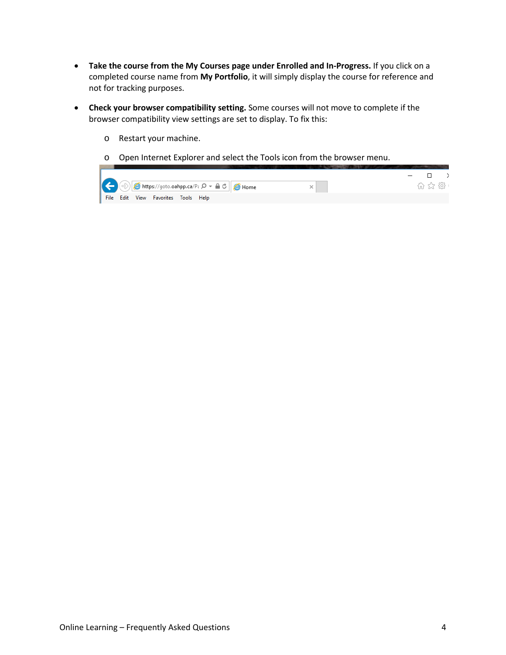- **Take the course from the My Courses page under Enrolled and In-Progress.** If you click on a completed course name from **My Portfolio**, it will simply display the course for reference and not for tracking purposes.
- **Check your browser compatibility setting.** Some courses will not move to complete if the browser compatibility view settings are set to display. To fix this:
	- o Restart your machine.
	- o Open Internet Explorer and select the Tools icon from the browser menu.